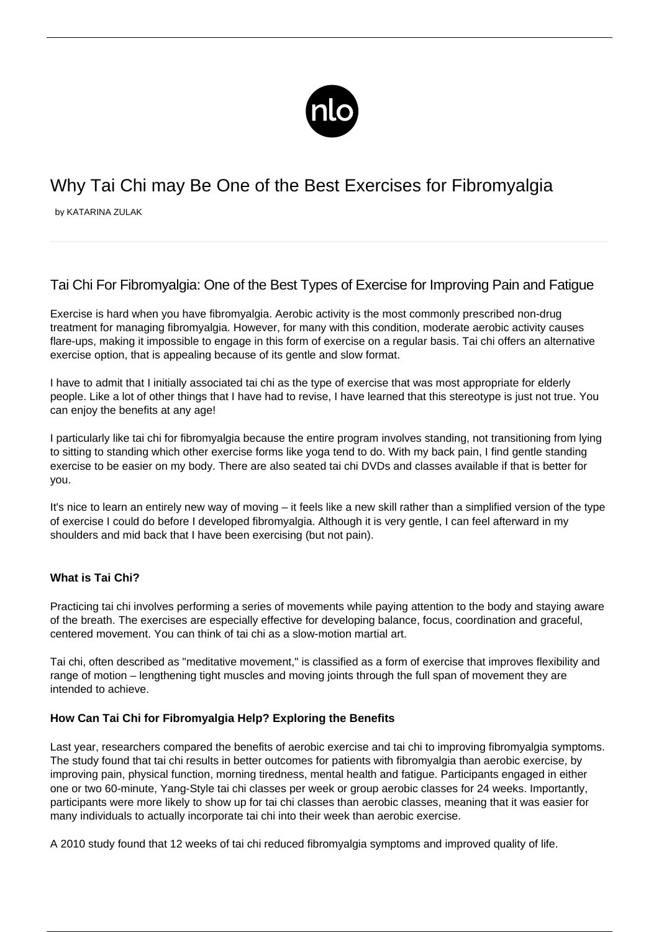

# Why Tai Chi may Be One of the Best Exercises for Fibromyalgia

by KATARINA ZULAK

# Tai Chi For Fibromyalgia: One of the Best Types of Exercise for Improving Pain and Fatigue

[Exercise is hard when you have fibromyalgia](/exercise-for-fibromyalgia/). Aerobic activity is the most commonly prescribed non-drug treatment for managing fibromyalgia. However, for many with this condition, moderate aerobic activity causes flare-ups, making it impossible to engage in this form of exercise on a regular basis. Tai chi offers an alternative exercise option, that is appealing because of its gentle and slow format.

I have to admit that I initially associated tai chi as the type of exercise that was most appropriate for elderly people. Like a lot of other things that I have had to revise, I have learned that this stereotype is just not true. You can enjoy the benefits at any age!

I particularly like tai chi for fibromyalgia because the entire program involves standing, not transitioning from lying to sitting to standing which other exercise forms like yoga tend to do. With my back pain, I find gentle standing exercise to be easier on my body. There are also seated tai chi DVDs and classes available if that is better for you.

It's nice to learn an entirely new way of moving – it feels like a new skill rather than a simplified version of the type of exercise I could do before I developed fibromyalgia. Although it is very gentle, I can feel afterward in my shoulders and mid back that I have been exercising (but not pain).

## **What is Tai Chi?**

Practicing tai chi involves performing a series of movements while paying attention to the body and staying aware of the breath. The exercises are especially effective for developing balance, focus, coordination and graceful, centered movement. You can think of tai chi as a slow-motion martial art.

Tai chi, often described as "meditative movement," is classified as a form of exercise that improves flexibility and range of motion – lengthening tight muscles and moving joints through the full span of movement they are intended to achieve.

## **How Can Tai Chi for Fibromyalgia Help? Exploring the Benefits**

Last year, researchers compared the benefits of aerobic exercise and tai chi to improving [fibromyalgia symptoms.](/symptoms-of-fibromyalgia/) The study found that tai chi results in better outcomes for patients with fibromyalgia than aerobic exercise, by improving pain, physical function, morning tiredness, mental health and fatigue. Participants engaged in either one or two 60-minute, Yang-Style tai chi classes per week or group aerobic classes for 24 weeks. Importantly, participants were more likely to show up for tai chi classes than aerobic classes, meaning that it was easier for many individuals to actually incorporate tai chi into their week than aerobic exercise.

[A 2010 study](https://www.nytimes.com/2010/08/19/health/19taichi.html) found that 12 weeks of tai chi reduced fibromyalgia symptoms and improved quality of life.